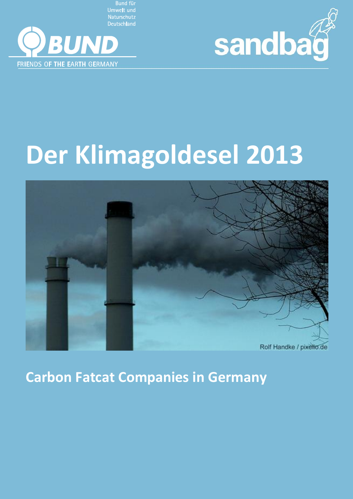**Umwelt und Naturschutz Deutschland** 





# **Der Klimagoldesel 2013**



**Carbon Fatcat Companies in Germany**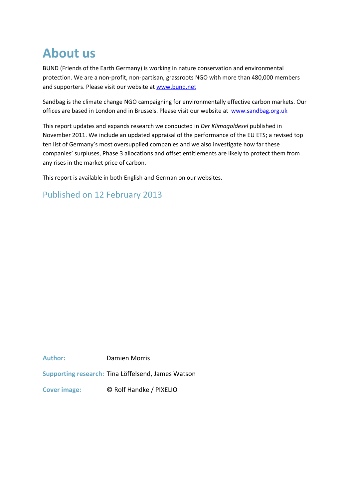# **About us**

BUND (Friends of the Earth Germany) is working in nature conservation and environmental protection. We are a non-profit, non-partisan, grassroots NGO with more than 480,000 members and supporters. Please visit our website at [www.bund.net](http://www.bund.net/)

Sandbag is the climate change NGO campaigning for environmentally effective carbon markets. Our offices are based in London and in Brussels. Please visit our website at [www.sandbag.org.uk](http://www.sandbag.org.uk/)

This report updates and expands research we conducted in *Der Klimagoldesel* published in November 2011. We include an updated appraisal of the performance of the EU ETS; a revised top ten list of Germany's most oversupplied companies and we also investigate how far these companies' surpluses, Phase 3 allocations and offset entitlements are likely to protect them from any rises in the market price of carbon.

This report is available in both English and German on our websites.

## Published on 12 February 2013

**Author:** Damien Morris

**Supporting research:** Tina Löffelsend, James Watson

**Cover image:** © Rolf Handke / PIXELIO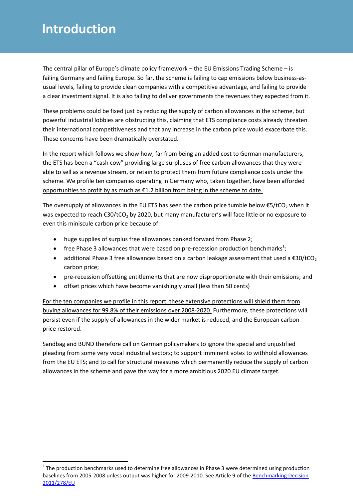# **Introduction**

**.** 

The central pillar of Europe's climate policy framework – the EU Emissions Trading Scheme – is failing Germany and failing Europe. So far, the scheme is failing to cap emissions below business-asusual levels, failing to provide clean companies with a competitive advantage, and failing to provide a clear investment signal. It is also failing to deliver governments the revenues they expected from it.

These problems could be fixed just by reducing the supply of carbon allowances in the scheme, but powerful industrial lobbies are obstructing this, claiming that ETS compliance costs already threaten their international competitiveness and that any increase in the carbon price would exacerbate this. These concerns have been dramatically overstated.

In the report which follows we show how, far from being an added cost to German manufacturers, the ETS has been a "cash cow" providing large surpluses of free carbon allowances that they were able to sell as a revenue stream, or retain to protect them from future compliance costs under the scheme. We profile ten companies operating in Germany who, taken together, have been afforded opportunities to profit by as much as €1.2 billion from being in the scheme to date.

The oversupply of allowances in the EU ETS has seen the carbon price tumble below  $\epsilon$ 5/tCO<sub>2</sub> when it was expected to reach €30/tCO<sub>2</sub> by 2020, but many manufacturer's will face little or no exposure to even this miniscule carbon price because of:

- huge supplies of surplus free allowances banked forward from Phase 2;
- free Phase 3 allowances that were based on pre-recession production benchmarks<sup>1</sup>;
- additional Phase 3 free allowances based on a carbon leakage assessment that used a  $\epsilon$ 30/tCO<sub>2</sub> carbon price;
- pre-recession offsetting entitlements that are now disproportionate with their emissions; and
- offset prices which have become vanishingly small (less than 50 cents)

For the ten companies we profile in this report, these extensive protections will shield them from buying allowances for 99.8% of their emissions over 2008-2020. Furthermore, these protections will persist even if the supply of allowances in the wider market is reduced, and the European carbon price restored.

Sandbag and BUND therefore call on German policymakers to ignore the special and unjustified pleading from some very vocal industrial sectors; to support imminent votes to withhold allowances from the EU ETS; and to call for structural measures which permanently reduce the supply of carbon allowances in the scheme and pave the way for a more ambitious 2020 EU climate target.

 $1$  The production benchmarks used to determine free allowances in Phase 3 were determined using production baselines from 2005-2008 unless output was higher for 2009-2010. See Article 9 of the Benchmarking Decision [2011/278/EU](http://eur-lex.europa.eu/LexUriServ/LexUriServ.do?uri=OJ:L:2011:130:0001:01:EN:HTML)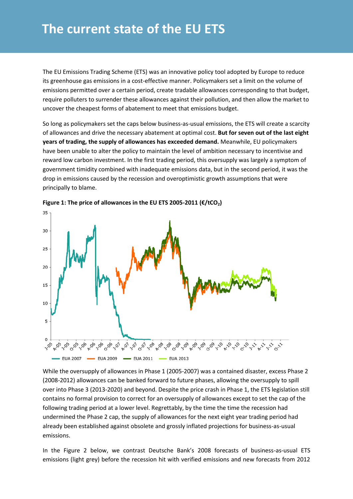The EU Emissions Trading Scheme (ETS) was an innovative policy tool adopted by Europe to reduce its greenhouse gas emissions in a cost-effective manner. Policymakers set a limit on the volume of emissions permitted over a certain period, create tradable allowances corresponding to that budget, require polluters to surrender these allowances against their pollution, and then allow the market to uncover the cheapest forms of abatement to meet that emissions budget.

So long as policymakers set the caps below business-as-usual emissions, the ETS will create a scarcity of allowances and drive the necessary abatement at optimal cost. **But for seven out of the last eight years of trading, the supply of allowances has exceeded demand.** Meanwhile, EU policymakers have been unable to alter the policy to maintain the level of ambition necessary to incentivise and reward low carbon investment. In the first trading period, this oversupply was largely a symptom of government timidity combined with inadequate emissions data, but in the second period, it was the drop in emissions caused by the recession and overoptimistic growth assumptions that were principally to blame.





While the oversupply of allowances in Phase 1 (2005-2007) was a contained disaster, excess Phase 2 (2008-2012) allowances can be banked forward to future phases, allowing the oversupply to spill over into Phase 3 (2013-2020) and beyond. Despite the price crash in Phase 1, the ETS legislation still contains no formal provision to correct for an oversupply of allowances except to set the cap of the following trading period at a lower level. Regrettably, by the time the time the recession had undermined the Phase 2 cap, the supply of allowances for the next eight year trading period had already been established against obsolete and grossly inflated projections for business-as-usual emissions.

In the Figure 2 below, we contrast Deutsche Bank's 2008 forecasts of business-as-usual ETS emissions (light grey) before the recession hit with verified emissions and new forecasts from 2012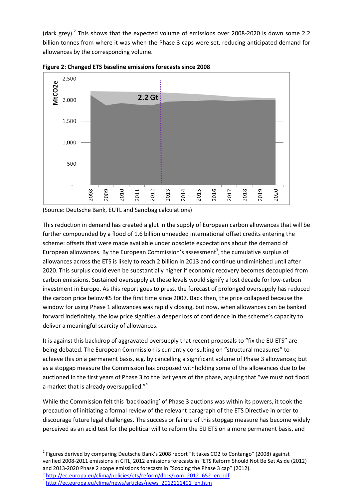(dark grey).<sup>2</sup> This shows that the expected volume of emissions over 2008-2020 is down some 2.2 billion tonnes from where it was when the Phase 3 caps were set, reducing anticipated demand for allowances by the corresponding volume.



**Figure 2: Changed ETS baseline emissions forecasts since 2008** 

(Source: Deutsche Bank, EUTL and Sandbag calculations)

This reduction in demand has created a glut in the supply of European carbon allowances that will be further compounded by a flood of 1.6 billion unneeded international offset credits entering the scheme: offsets that were made available under obsolete expectations about the demand of European allowances. By the European Commission's assessment<sup>3</sup>, the cumulative surplus of allowances across the ETS is likely to reach 2 billion in 2013 and continue undiminished until after 2020. This surplus could even be substantially higher if economic recovery becomes decoupled from carbon emissions. Sustained oversupply at these levels would signify a lost decade for low-carbon investment in Europe. As this report goes to press, the forecast of prolonged oversupply has reduced the carbon price below €5 for the first time since 2007. Back then, the price collapsed because the window for using Phase 1 allowances was rapidly closing, but now, when allowances can be banked forward indefinitely, the low price signifies a deeper loss of confidence in the scheme's capacity to deliver a meaningful scarcity of allowances.

It is against this backdrop of aggravated oversupply that recent proposals to "fix the EU ETS" are being debated. The European Commission is currently consulting on "structural measures" to achieve this on a permanent basis, e.g. by cancelling a significant volume of Phase 3 allowances; but as a stopgap measure the Commission has proposed withholding some of the allowances due to be auctioned in the first years of Phase 3 to the last years of the phase, arguing that "we must not flood a market that is already oversupplied."<sup>4</sup>

While the Commission felt this 'backloading' of Phase 3 auctions was within its powers, it took the precaution of initiating a formal review of the relevant paragraph of the ETS Directive in order to discourage future legal challenges. The success or failure of this stopgap measure has become widely perceived as an acid test for the political will to reform the EU ETS on a more permanent basis, and

<sup>&</sup>lt;sup>2</sup> Figures derived by comparing Deutsche Bank's 2008 report "It takes CO2 to Contango" (2008) against verified 2008-2011 emissions in CITL, 2012 emissions forecasts in "ETS Reform Should Not Be Set Aside (2012) and 2013-2020 Phase 2 scope emissions forecasts in "Scoping the Phase 3 cap" (2012). <sup>3</sup> [http://ec.europa.eu/clima/policies/ets/reform/docs/com\\_2012\\_652\\_en.pdf](http://ec.europa.eu/clima/policies/ets/reform/docs/com_2012_652_en.pdf)

<sup>&</sup>lt;sup>4</sup> [http://ec.europa.eu/clima/news/articles/news\\_2012111401\\_en.htm](http://ec.europa.eu/clima/news/articles/news_2012111401_en.htm)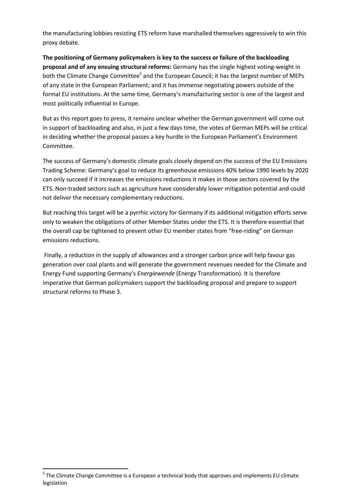the manufacturing lobbies resisting ETS reform have marshalled themselves aggressively to win this proxy debate.

**The positioning of Germany policymakers is key to the success or failure of the backloading proposal and of any ensuing structural reforms:** Germany has the single highest voting-weight in both the Climate Change Committee<sup>5</sup> and the European Council; it has the largest number of MEPs of any state in the European Parliament; and it has immense negotiating powers outside of the formal EU institutions. At the same time, Germany's manufacturing sector is one of the largest and most politically influential in Europe.

But as this report goes to press, it remains unclear whether the German government will come out in support of backloading and also, in just a few days time, the votes of German MEPs will be critical in deciding whether the proposal passes a key hurdle in the European Parliament's Environment Committee.

The success of Germany's domestic climate goals closely depend on the success of the EU Emissions Trading Scheme: Germany's goal to reduce its greenhouse emissions 40% below 1990 levels by 2020 can only succeed if it increases the emissions reductions it makes in those sectors covered by the ETS. Non-traded sectors such as agriculture have considerably lower mitigation potential and could not deliver the necessary complementary reductions.

But reaching this target will be a pyrrhic victory for Germany if its additional mitigation efforts serve only to weaken the obligations of other Member States under the ETS. It is therefore essential that the overall cap be tightened to prevent other EU member states from "free-riding" on German emissions reductions.

Finally, a reduction in the supply of allowances and a stronger carbon price will help favour gas generation over coal plants and will generate the government revenues needed for the Climate and Energy Fund supporting Germany's *Energiewende* (Energy Transformation). It is therefore imperative that German policymakers support the backloading proposal and prepare to support structural reforms to Phase 3.

 $\overline{a}$ 

 $<sup>5</sup>$  The Climate Change Committee is a European a technical body that approves and implements EU climate</sup> legislation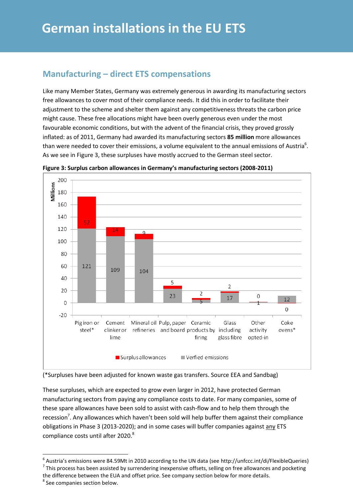#### **Manufacturing – direct ETS compensations**

Like many Member States, Germany was extremely generous in awarding its manufacturing sectors free allowances to cover most of their compliance needs. It did this in order to facilitate their adjustment to the scheme and shelter them against any competitiveness threats the carbon price might cause. These free allocations might have been overly generous even under the most favourable economic conditions, but with the advent of the financial crisis, they proved grossly inflated: as of 2011, Germany had awarded its manufacturing sectors **85 million** more allowances than were needed to cover their emissions, a volume equivalent to the annual emissions of Austria<sup>6</sup>. As we see in Figure 3, these surpluses have mostly accrued to the German steel sector.



**Figure 3: Surplus carbon allowances in Germany's manufacturing sectors (2008-2011)** 

(\*Surpluses have been adjusted for known waste gas transfers. Source EEA and Sandbag)

These surpluses, which are expected to grow even larger in 2012, have protected German manufacturing sectors from paying any compliance costs to date. For many companies, some of these spare allowances have been sold to assist with cash-flow and to help them through the recession<sup>7</sup>. Any allowances which haven't been sold will help buffer them against their compliance obligations in Phase 3 (2013-2020); and in some cases will buffer companies against any ETS compliance costs until after 2020.<sup>8</sup>

 6 Austria's emissions were 84.59Mt in 2010 according to the UN data (see http://unfccc.int/di/FlexibleQueries)  $^7$  This process has been assisted by surrendering inexpensive offsets, selling on free allowances and pocketing the difference between the EUA and offset price. See company section below for more details.

<sup>&</sup>lt;sup>8</sup> See companies section below.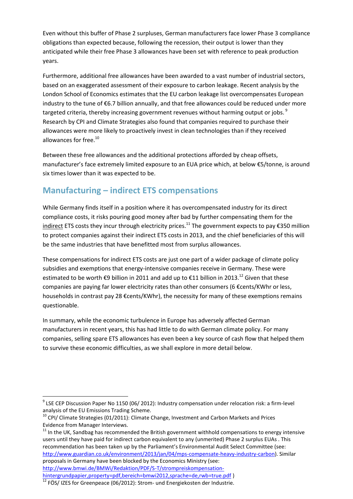Even without this buffer of Phase 2 surpluses, German manufacturers face lower Phase 3 compliance obligations than expected because, following the recession, their output is lower than they anticipated while their free Phase 3 allowances have been set with reference to peak production years.

Furthermore, additional free allowances have been awarded to a vast number of industrial sectors, based on an exaggerated assessment of their exposure to carbon leakage. Recent analysis by the London School of Economics estimates that the EU carbon leakage list overcompensates European industry to the tune of €6.7 billion annually, and that free allowances could be reduced under more targeted criteria, thereby increasing government revenues without harming output or jobs.<sup>9</sup> Research by CPI and Climate Strategies also found that companies required to purchase their allowances were more likely to proactively invest in clean technologies than if they received allowances for free. 10

Between these free allowances and the additional protections afforded by cheap offsets, manufacturer's face extremely limited exposure to an EUA price which, at below €5/tonne, is around six times lower than it was expected to be.

### **Manufacturing – indirect ETS compensations**

While Germany finds itself in a position where it has overcompensated industry for its direct compliance costs, it risks pouring good money after bad by further compensating them for the indirect ETS costs they incur through electricity prices.<sup>11</sup> The government expects to pay €350 million to protect companies against their indirect ETS costs in 2013, and the chief beneficiaries of this will be the same industries that have benefitted most from surplus allowances.

These compensations for indirect ETS costs are just one part of a wider package of climate policy subsidies and exemptions that energy-intensive companies receive in Germany. These were estimated to be worth €9 billion in 2011 and add up to €11 billion in 2013.<sup>12</sup> Given that these companies are paying far lower electricity rates than other consumers (6 €cents/KWhr or less, households in contrast pay 28 €cents/KWhr), the necessity for many of these exemptions remains questionable.

In summary, while the economic turbulence in Europe has adversely affected German manufacturers in recent years, this has had little to do with German climate policy. For many companies, selling spare ETS allowances has even been a key source of cash flow that helped them to survive these economic difficulties, as we shall explore in more detail below.

 $11$  In the UK, Sandbag has recommended the British government withhold compensations to energy intensive users until they have paid for indirect carbon equivalent to any (unmerited) Phase 2 surplus EUAs . This recommendation has been taken up by the Parliament's Environmental Audit Select Committee (see: [http://www.guardian.co.uk/environment/2013/jan/04/mps-compensate-heavy-industry-carbon\)](http://www.guardian.co.uk/environment/2013/jan/04/mps-compensate-heavy-industry-carbon). Similar proposals in Germany have been blocked by the Economics Ministry (see: [http://www.bmwi.de/BMWi/Redaktion/PDF/S-T/strompreiskompensation](http://www.bmwi.de/BMWi/Redaktion/PDF/S-T/strompreiskompensation-hintergrundpapier,property=pdf,bereich=bmwi2012,sprache=de,rwb=true.pdf)[hintergrundpapier,property=pdf,bereich=bmwi2012,sprache=de,rwb=true.pdf](http://www.bmwi.de/BMWi/Redaktion/PDF/S-T/strompreiskompensation-hintergrundpapier,property=pdf,bereich=bmwi2012,sprache=de,rwb=true.pdf))

**<sup>.</sup>** <sup>9</sup> LSE CEP Discussion Paper No 1150 (06/ 2012): Industry compensation under relocation risk: a firm-level analysis of the EU Emissions Trading Scheme.

<sup>&</sup>lt;sup>10</sup> CPI/ Climate Strategies (01/2011): Climate Change, Investment and Carbon Markets and Prices Evidence from Manager Interviews.

<sup>&</sup>lt;sup>12</sup> FÖS/ IZES for Greenpeace (06/2012): Strom- und Energiekosten der Industrie.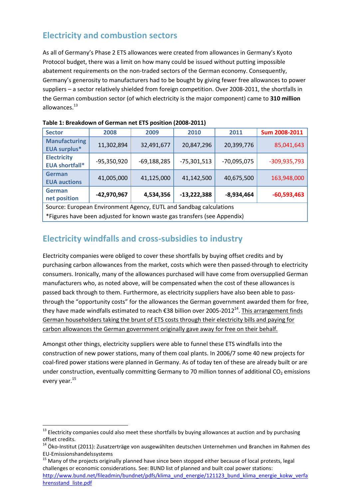## **Electricity and combustion sectors**

As all of Germany's Phase 2 ETS allowances were created from allowances in Germany's Kyoto Protocol budget, there was a limit on how many could be issued without putting impossible abatement requirements on the non-traded sectors of the German economy. Consequently, Germany's generosity to manufacturers had to be bought by giving fewer free allowances to power suppliers – a sector relatively shielded from foreign competition. Over 2008-2011, the shortfalls in the German combustion sector (of which electricity is the major component) came to **310 million** allowances. 13

| <b>Sector</b>                                                                                        | 2008          | 2009          | 2010          | 2011          | Sum 2008-2011  |  |  |
|------------------------------------------------------------------------------------------------------|---------------|---------------|---------------|---------------|----------------|--|--|
| <b>Manufacturing</b><br><b>EUA surplus*</b>                                                          | 11,302,894    | 32,491,677    | 20,847,296    | 20,399,776    | 85,041,643     |  |  |
| <b>Electricity</b><br><b>EUA shortfall*</b>                                                          | $-95,350,920$ | $-69,188,285$ | $-75,301,513$ | $-70,095,075$ | $-309,935,793$ |  |  |
| German<br><b>EUA auctions</b>                                                                        | 41,005,000    | 41,125,000    | 41,142,500    | 40,675,500    | 163,948,000    |  |  |
| German<br>-42,970,967<br>$-13,222,388$<br>$-60,593,463$<br>4,534,356<br>$-8,934,464$<br>net position |               |               |               |               |                |  |  |
| Source: European Environment Agency, EUTL and Sandbag calculations                                   |               |               |               |               |                |  |  |
| *Figures have been adjusted for known waste gas transfers (see Appendix)                             |               |               |               |               |                |  |  |

| Table 1: Breakdown of German net ETS position (2008-2011) |  |  |
|-----------------------------------------------------------|--|--|
|                                                           |  |  |

#### **Electricity windfalls and cross-subsidies to industry**

Electricity companies were obliged to cover these shortfalls by buying offset credits and by purchasing carbon allowances from the market, costs which were then passed-through to electricity consumers. Ironically, many of the allowances purchased will have come from oversupplied German manufacturers who, as noted above, will be compensated when the cost of these allowances is passed back through to them. Furthermore, as electricity suppliers have also been able to passthrough the "opportunity costs" for the allowances the German government awarded them for free, they have made windfalls estimated to reach €38 billion over 2005-2012<sup>14</sup>. This arrangement finds German householders taking the brunt of ETS costs through their electricity bills and paying for carbon allowances the German government originally gave away for free on their behalf.

Amongst other things, electricity suppliers were able to funnel these ETS windfalls into the construction of new power stations, many of them coal plants. In 2006/7 some 40 new projects for coal-fired power stations were planned in Germany. As of today ten of these are already built or are under construction, eventually committing Germany to 70 million tonnes of additional  $CO<sub>2</sub>$  emissions every year.<sup>15</sup>

<sup>1</sup>  $^{13}$  Electricity companies could also meet these shortfalls by buying allowances at auction and by purchasing offset credits.

<sup>&</sup>lt;sup>14</sup> Öko-Institut (2011): Zusatzerträge von ausgewählten deutschen Unternehmen und Branchen im Rahmen des EU-Emissionshandelssystems

<sup>&</sup>lt;sup>15</sup> Many of the projects originally planned have since been stopped either because of local protests, legal challenges or economic considerations. See: BUND list of planned and built coal power stations: [http://www.bund.net/fileadmin/bundnet/pdfs/klima\\_und\\_energie/121123\\_bund\\_klima\\_energie\\_kokw\\_verfa](http://www.bund.net/fileadmin/bundnet/pdfs/klima_und_energie/121123_bund_klima_energie_kokw_verfahrensstand_liste.pdf) hrensstand liste.pdf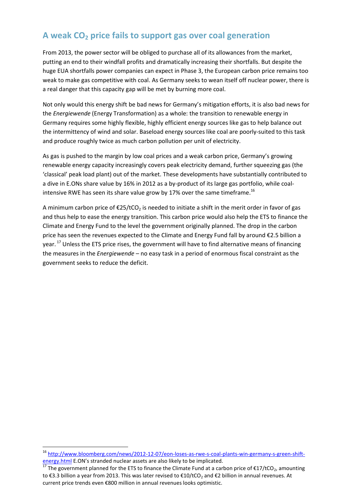## **A weak CO<sup>2</sup> price fails to support gas over coal generation**

From 2013, the power sector will be obliged to purchase all of its allowances from the market, putting an end to their windfall profits and dramatically increasing their shortfalls. But despite the huge EUA shortfalls power companies can expect in Phase 3, the European carbon price remains too weak to make gas competitive with coal. As Germany seeks to wean itself off nuclear power, there is a real danger that this capacity gap will be met by burning more coal.

Not only would this energy shift be bad news for Germany's mitigation efforts, it is also bad news for the *Energiewende* (Energy Transformation) as a whole: the transition to renewable energy in Germany requires some highly flexible, highly efficient energy sources like gas to help balance out the intermittency of wind and solar. Baseload energy sources like coal are poorly-suited to this task and produce roughly twice as much carbon pollution per unit of electricity.

As gas is pushed to the margin by low coal prices and a weak carbon price, Germany's growing renewable energy capacity increasingly covers peak electricity demand, further squeezing gas (the 'classical' peak load plant) out of the market. These developments have substantially contributed to a dive in E.ONs share value by 16% in 2012 as a by-product of its large gas portfolio, while coalintensive RWE has seen its share value grow by 17% over the same timeframe.<sup>16</sup>

A minimum carbon price of  $E25/tCO<sub>2</sub>$  is needed to initiate a shift in the merit order in favor of gas and thus help to ease the energy transition. This carbon price would also help the ETS to finance the Climate and Energy Fund to the level the government originally planned. The drop in the carbon price has seen the revenues expected to the Climate and Energy Fund fall by around €2.5 billion a year.<sup>17</sup> Unless the ETS price rises, the government will have to find alternative means of financing the measures in the *Energiewende* – no easy task in a period of enormous fiscal constraint as the government seeks to reduce the deficit.

<sup>&</sup>lt;sup>16</sup> [http://www.bloomberg.com/news/2012-12-07/eon-loses-as-rwe-s-coal-plants-win-germany-s-green-shift](http://www.bloomberg.com/news/2012-12-07/eon-loses-as-rwe-s-coal-plants-win-germany-s-green-shift-energy.html)[energy.html](http://www.bloomberg.com/news/2012-12-07/eon-loses-as-rwe-s-coal-plants-win-germany-s-green-shift-energy.html) E.ON's stranded nuclear assets are also likely to be implicated.

<sup>&</sup>lt;sup>17</sup> The government planned for the ETS to finance the Climate Fund at a carbon price of €17/tCO<sub>2</sub>, amounting to €3.3 billion a year from 2013. This was later revised to €10/tCO<sub>2</sub> and €2 billion in annual revenues. At current price trends even €800 million in annual revenues looks optimistic.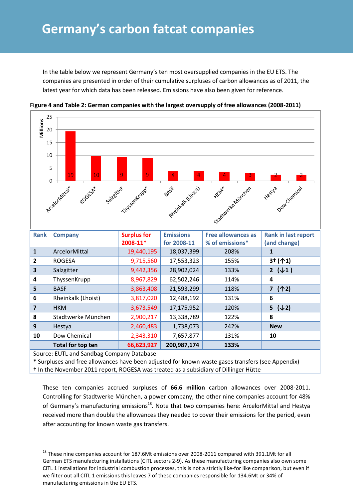# **Germany's carbon fatcat companies**

In the table below we represent Germany's ten most oversupplied companies in the EU ETS. The companies are presented in order of their cumulative surpluses of carbon allowances as of 2011, the latest year for which data has been released. Emissions have also been given for reference.



**Figure 4 and Table 2: German companies with the largest oversupply of free allowances (2008-2011)**

**\*** Surpluses and free allowances have been adjusted for known waste gases transfers (see Appendix) † In the November 2011 report, ROGESA was treated as a subsidiary of Dillinger Hütte

These ten companies accrued surpluses of **66.6 million** carbon allowances over 2008-2011. Controlling for Stadtwerke München, a power company, the other nine companies account for 48% of Germany's manufacturing emissions<sup>18</sup>. Note that two companies here: ArcelorMittal and Hestya received more than double the allowances they needed to cover their emissions for the period, even after accounting for known waste gas transfers.

<sup>&</sup>lt;sup>18</sup> These nine companies account for 187.6Mt emissions over 2008-2011 compared with 391.1Mt for all German ETS manufacturing installations (CITL sectors 2-9). As these manufacturing companies also own some CITL 1 installations for industrial combustion processes, this is not a strictly like-for like comparison, but even if we filter out all CITL 1 emissions this leaves 7 of these companies responsible for 134.6Mt or 34% of manufacturing emissions in the EU ETS.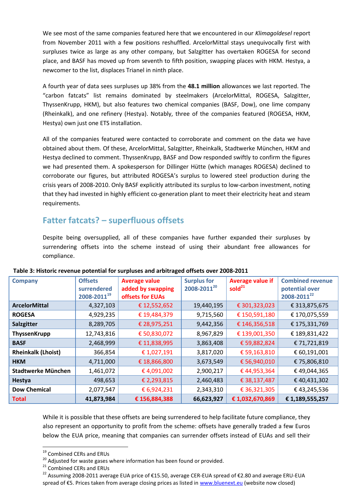We see most of the same companies featured here that we encountered in our *Klimagoldesel* report from November 2011 with a few positions reshuffled. ArcelorMittal stays unequivocally first with surpluses twice as large as any other company, but Salzgitter has overtaken ROGESA for second place, and BASF has moved up from seventh to fifth position, swapping places with HKM. Hestya, a newcomer to the list, displaces Trianel in ninth place.

A fourth year of data sees surpluses up 38% from the **48.1 million** allowances we last reported. The "carbon fatcats" list remains dominated by steelmakers (ArcelorMittal, ROGESA, Salzgitter, ThyssenKrupp, HKM), but also features two chemical companies (BASF, Dow), one lime company (Rheinkalk), and one refinery (Hestya). Notably, three of the companies featured (ROGESA, HKM, Hestya) own just one ETS installation.

All of the companies featured were contacted to corroborate and comment on the data we have obtained about them. Of these, ArcelorMittal, Salzgitter, Rheinkalk, Stadtwerke München, HKM and Hestya declined to comment. ThyssenKrupp, BASF and Dow responded swiftly to confirm the figures we had presented them. A spokesperson for Dillinger Hütte (which manages ROGESA) declined to corroborate our figures, but attributed ROGESA's surplus to lowered steel production during the crisis years of 2008-2010. Only BASF explicitly attributed its surplus to low-carbon investment, noting that they had invested in highly efficient co-generation plant to meet their electricity heat and steam requirements.

#### **Fatter fatcats? – superfluous offsets**

Despite being oversupplied, all of these companies have further expanded their surpluses by surrendering offsets into the scheme instead of using their abundant free allowances for compliance.

| <b>Company</b>            | <b>Offsets</b><br>surrendered<br>2008-201119 | <b>Average value</b><br>added by swapping<br>offsets for EUAs | <b>Surplus for</b><br>2008-2011 <sup>20</sup> | <b>Average value if</b><br>sold <sup>21</sup> | <b>Combined revenue</b><br>potential over<br>2008-2011 <sup>22</sup> |
|---------------------------|----------------------------------------------|---------------------------------------------------------------|-----------------------------------------------|-----------------------------------------------|----------------------------------------------------------------------|
| <b>ArcelorMittal</b>      | 4,327,103                                    | € 12,552,652                                                  | 19,440,195                                    | € 301,323,023                                 | € 313,875,675                                                        |
| <b>ROGESA</b>             | 4,929,235                                    | € 19,484,379                                                  | 9,715,560                                     | € 150,591,180                                 | €170,075,559                                                         |
| Salzgitter                | 8,289,705                                    | € 28,975,251                                                  | 9,442,356                                     | € 146,356,518                                 | € 175,331,769                                                        |
| ThyssenKrupp              | 12,743,816                                   | € 50,830,072                                                  | 8,967,829                                     | € 139,001,350                                 | € 189,831,422                                                        |
| <b>BASF</b>               | 2,468,999                                    | € 11,838,995                                                  | 3,863,408                                     | € 59,882,824                                  | € 71,721,819                                                         |
| <b>Rheinkalk (Lhoist)</b> | 366,854                                      | € 1,027,191                                                   | 3,817,020                                     | € 59,163,810                                  | € 60,191,001                                                         |
| <b>HKM</b>                | 4,711,000                                    | € 18,866,800                                                  | 3,673,549                                     | € 56,940,010                                  | € 75,806,810                                                         |
| <b>Stadtwerke München</b> | 1,461,072                                    | €4,091,002                                                    | 2,900,217                                     | €44,953,364                                   | €49,044,365                                                          |
| <b>Hestya</b>             | 498,653                                      | € 2,293,815                                                   | 2,460,483                                     | € 38,137,487                                  | €40,431,302                                                          |
| <b>Dow Chemical</b>       | 2,077,547                                    | € 6,924,231                                                   | 2,343,310                                     | € 36,321,305                                  | €43,245,536                                                          |
| <b>Total</b>              | 41,873,984                                   | € 156,884,388                                                 | 66,623,927                                    | €1,032,670,869                                | € 1,189,555,257                                                      |

**Table 3: Historic revenue potential for surpluses and arbitraged offsets over 2008-2011**

While it is possible that these offsets are being surrendered to help facilitate future compliance, they also represent an opportunity to profit from the scheme: offsets have generally traded a few Euros below the EUA price, meaning that companies can surrender offsets instead of EUAs and sell their

<sup>&</sup>lt;sup>19</sup> Combined CERs and ERUs

<sup>&</sup>lt;sup>20</sup> Adjusted for waste gases where information has been found or provided.

<sup>&</sup>lt;sup>21</sup> Combined CERs and ERUs

<sup>&</sup>lt;sup>22</sup> Assuming 2008-2011 average EUA price of €15.50, average CER-EUA spread of €2.80 and average ERU-EUA spread of €5. Prices taken from average closing prices as listed in [www.bluenext.eu](http://www.bluenext.eu/) (website now closed)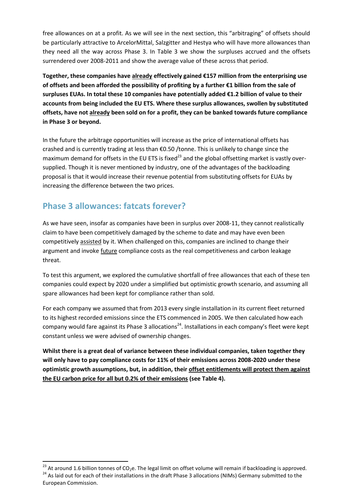free allowances on at a profit. As we will see in the next section, this "arbitraging" of offsets should be particularly attractive to ArcelorMittal, Salzgitter and Hestya who will have more allowances than they need all the way across Phase 3. In Table 3 we show the surpluses accrued and the offsets surrendered over 2008-2011 and show the average value of these across that period.

**Together, these companies have already effectively gained €157 million from the enterprising use of offsets and been afforded the possibility of profiting by a further €1 billion from the sale of surpluses EUAs. In total these 10 companies have potentially added €1.2 billion of value to their accounts from being included the EU ETS. Where these surplus allowances, swollen by substituted offsets, have not already been sold on for a profit, they can be banked towards future compliance in Phase 3 or beyond.** 

In the future the arbitrage opportunities will increase as the price of international offsets has crashed and is currently trading at less than €0.50 /tonne. This is unlikely to change since the maximum demand for offsets in the EU ETS is fixed<sup>23</sup> and the global offsetting market is vastly oversupplied. Though it is never mentioned by industry, one of the advantages of the backloading proposal is that it would increase their revenue potential from substituting offsets for EUAs by increasing the difference between the two prices.

## **Phase 3 allowances: fatcats forever?**

**.** 

As we have seen, insofar as companies have been in surplus over 2008-11, they cannot realistically claim to have been competitively damaged by the scheme to date and may have even been competitively assisted by it. When challenged on this, companies are inclined to change their argument and invoke future compliance costs as the real competitiveness and carbon leakage threat.

To test this argument, we explored the cumulative shortfall of free allowances that each of these ten companies could expect by 2020 under a simplified but optimistic growth scenario, and assuming all spare allowances had been kept for compliance rather than sold.

For each company we assumed that from 2013 every single installation in its current fleet returned to its highest recorded emissions since the ETS commenced in 2005. We then calculated how each company would fare against its Phase 3 allocations<sup>24</sup>. Installations in each company's fleet were kept constant unless we were advised of ownership changes.

**Whilst there is a great deal of variance between these individual companies, taken together they will only have to pay compliance costs for 11% of their emissions across 2008-2020 under these optimistic growth assumptions, but, in addition, their offset entitlements will protect them against the EU carbon price for all but 0.2% of their emissions (see Table 4).**

<sup>&</sup>lt;sup>23</sup> At around 1.6 billion tonnes of CO<sub>2</sub>e. The legal limit on offset volume will remain if backloading is approved. <sup>24</sup> As laid out for each of their installations in the draft Phase 3 allocations (NIMs) Germany submitted to the European Commission.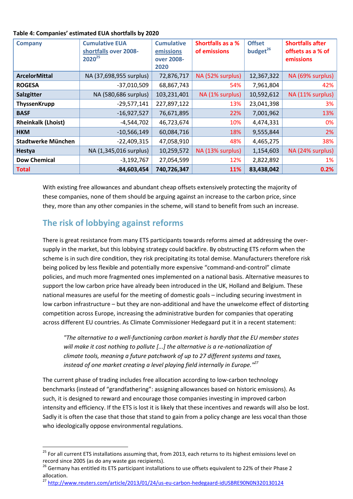| <b>Company</b>            | <b>Cumulative EUA</b><br>shortfalls over 2008-<br>$2020^{25}$ | <b>Cumulative</b><br>emissions<br>over 2008-<br>2020 | <b>Shortfalls as a %</b><br>of emissions | <b>Offset</b><br>budget <sup>26</sup> | <b>Shortfalls after</b><br>offsets as a % of<br>emissions |
|---------------------------|---------------------------------------------------------------|------------------------------------------------------|------------------------------------------|---------------------------------------|-----------------------------------------------------------|
| <b>ArcelorMittal</b>      | NA (37,698,955 surplus)                                       | 72,876,717                                           | NA (52% surplus)                         | 12,367,322                            | NA (69% surplus)                                          |
| <b>ROGESA</b>             | $-37,010,509$                                                 | 68,867,743                                           | 54%                                      | 7,961,804                             | 42%                                                       |
| Salzgitter                | NA (580,686 surplus)                                          | 103,231,401                                          | NA (1% surplus)                          | 10,592,612                            | NA (11% surplus)                                          |
| <b>ThyssenKrupp</b>       | $-29,577,141$                                                 | 227,897,122                                          | 13%                                      | 23,041,398                            | 3%                                                        |
| <b>BASF</b>               | $-16,927,527$                                                 | 76,671,895                                           | 22%                                      | 7,001,962                             | 13%                                                       |
| <b>Rheinkalk (Lhoist)</b> | $-4,544,702$                                                  | 46,723,674                                           | 10%                                      | 4,474,331                             | 0%                                                        |
| <b>HKM</b>                | $-10,566,149$                                                 | 60,084,716                                           | 18%                                      | 9,555,844                             | $2\%$                                                     |
| <b>Stadtwerke München</b> | $-22,409,315$                                                 | 47,058,910                                           | 48%                                      | 4,465,275                             | 38%                                                       |
| <b>Hestya</b>             | NA (1,345,016 surplus)                                        | 10,259,572                                           | NA (13% surplus)                         | 1,154,603                             | NA (24% surplus)                                          |
| <b>Dow Chemical</b>       | $-3,192,767$                                                  | 27,054,599                                           | 12%                                      | 2,822,892                             | 1%                                                        |
| <b>Total</b>              | $-84,603,454$                                                 | 740,726,347                                          | 11%                                      | 83,438,042                            | 0.2%                                                      |

With existing free allowances and abundant cheap offsets extensively protecting the majority of these companies, none of them should be arguing against an increase to the carbon price, since they, more than any other companies in the scheme, will stand to benefit from such an increase.

## **The risk of lobbying against reforms**

**.** 

There is great resistance from many ETS participants towards reforms aimed at addressing the oversupply in the market, but this lobbying strategy could backfire. By obstructing ETS reform when the scheme is in such dire condition, they risk precipitating its total demise. Manufacturers therefore risk being policed by less flexible and potentially more expensive "command-and-control" climate policies, and much more fragmented ones implemented on a national basis. Alternative measures to support the low carbon price have already been introduced in the UK, Holland and Belgium. These national measures are useful for the meeting of domestic goals – including securing investment in low carbon infrastructure – but they are non-additional and have the unwelcome effect of distorting competition across Europe, increasing the administrative burden for companies that operating across different EU countries. As Climate Commissioner Hedegaard put it in a recent statement:

*"The alternative to a well-functioning carbon market is hardly that the EU member states will make it cost nothing to pollute [...] the alternative is a re-nationalization of climate tools, meaning a future patchwork of up to 27 different systems and taxes, instead of one market creating a level playing field internally in Europe."<sup>27</sup>*

The current phase of trading includes free allocation according to low-carbon technology benchmarks (instead of "grandfathering": assigning allowances based on historic emissions). As such, it is designed to reward and encourage those companies investing in improved carbon intensity and efficiency. If the ETS is lost it is likely that these incentives and rewards will also be lost. Sadly it is often the case that those that stand to gain from a policy change are less vocal than those who ideologically oppose environmental regulations.

<sup>27</sup> <http://www.reuters.com/article/2013/01/24/us-eu-carbon-hedegaard-idUSBRE90N0N320130124>

<sup>&</sup>lt;sup>25</sup> For all current ETS installations assuming that, from 2013, each returns to its highest emissions level on record since 2005 (as do any waste gas recipients).

<sup>&</sup>lt;sup>26</sup> Germany has entitled its ETS participant installations to use offsets equivalent to 22% of their Phase 2 allocation.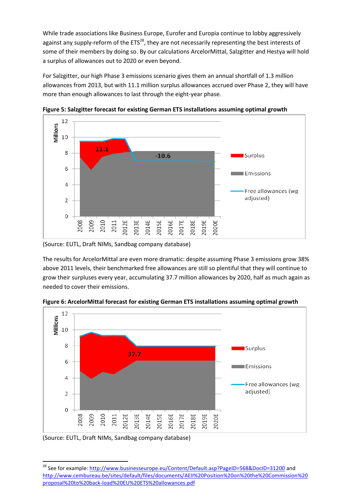While trade associations like Business Europe, Eurofer and Europia continue to lobby aggressively against any supply-reform of the  $ETS^{28}$ , they are not necessarily representing the best interests of some of their members by doing so. By our calculations ArcelorMittal, Salzgitter and Hestya will hold a surplus of allowances out to 2020 or even beyond.

For Salzgitter, our high Phase 3 emissions scenario gives them an annual shortfall of 1.3 million allowances from 2013, but with 11.1 million surplus allowances accrued over Phase 2, they will have more than enough allowances to last through the eight-year phase.



**Figure 5: Salzgitter forecast for existing German ETS installations assuming optimal growth**

(Source: EUTL, Draft NIMs, Sandbag company database)

The results for ArcelorMittal are even more dramatic: despite assuming Phase 3 emissions grow 38% above 2011 levels, their benchmarked free allowances are still so plentiful that they will continue to grow their surpluses every year, accumulating 37.7 million allowances by 2020, half as much again as needed to cover their emissions.



**Figure 6: ArcelorMittal forecast for existing German ETS installations assuming optimal growth**

(Source: EUTL, Draft NIMs, Sandbag company database)

**<sup>.</sup>** <sup>28</sup> See for example:<http://www.businesseurope.eu/Content/Default.asp?PageID=568&DocID=31200> and [http://www.cembureau.be/sites/default/files/documents/AEII%20Position%20on%20the%20Commission%20](http://www.cembureau.be/sites/default/files/documents/AEII%20Position%20on%20the%20Commission%20proposal%20to%20back-load%20EU%20ETS%20allowances.pdf) [proposal%20to%20back-load%20EU%20ETS%20allowances.pdf](http://www.cembureau.be/sites/default/files/documents/AEII%20Position%20on%20the%20Commission%20proposal%20to%20back-load%20EU%20ETS%20allowances.pdf)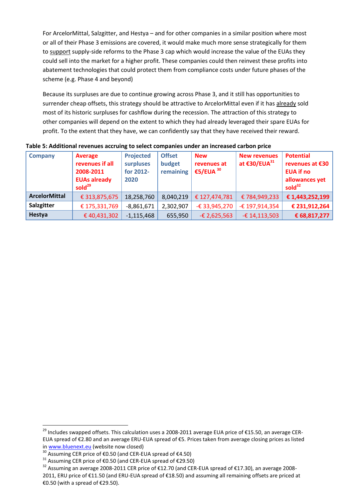For ArcelorMittal, Salzgitter, and Hestya – and for other companies in a similar position where most or all of their Phase 3 emissions are covered, it would make much more sense strategically for them to support supply-side reforms to the Phase 3 cap which would increase the value of the EUAs they could sell into the market for a higher profit. These companies could then reinvest these profits into abatement technologies that could protect them from compliance costs under future phases of the scheme (e.g. Phase 4 and beyond)

Because its surpluses are due to continue growing across Phase 3, and it still has opportunities to surrender cheap offsets, this strategy should be attractive to ArcelorMittal even if it has already sold most of its historic surpluses for cashflow during the recession. The attraction of this strategy to other companies will depend on the extent to which they had already leveraged their spare EUAs for profit. To the extent that they have, we can confidently say that they have received their reward.

| <b>Company</b>       | <b>Average</b><br>revenues if all<br>2008-2011<br><b>EUAs already</b><br>sold $^{29}$ | <b>Projected</b><br>surpluses<br>for 2012-<br>2020 | <b>Offset</b><br>budget<br>remaining | <b>New</b><br>revenues at<br>€5/EUA $30$ | <b>New revenues</b><br>at €30/EUA <sup>31</sup> | <b>Potential</b><br>revenues at €30<br><b>EUA if no</b><br>allowances yet<br>sold $32$ |
|----------------------|---------------------------------------------------------------------------------------|----------------------------------------------------|--------------------------------------|------------------------------------------|-------------------------------------------------|----------------------------------------------------------------------------------------|
| <b>ArcelorMittal</b> | € 313,875,675                                                                         | 18,258,760                                         | 8,040,219                            | € 127,474,781                            | €784,949,233                                    | € 1,443,252,199                                                                        |
| Salzgitter           | € 175,331,769                                                                         | $-8,861,671$                                       | 2,302,907                            | $-£$ 33,945,270                          | -€ 197,914,354                                  | € 231,912,264                                                                          |
| Hestya               | €40,431,302                                                                           | $-1,115,468$                                       | 655,950                              | $-£$ 2,625,563                           | $-£$ 14,113,503                                 | € 68,817,277                                                                           |

#### **Table 5: Additional revenues accruing to select companies under an increased carbon price**

1

<sup>&</sup>lt;sup>29</sup> Includes swapped offsets. This calculation uses a 2008-2011 average EUA price of €15.50, an average CER-EUA spread of €2.80 and an average ERU-EUA spread of €5. Prices taken from average closing prices as listed in [www.bluenext.eu](http://www.bluenext.eu/) (website now closed)

<sup>&</sup>lt;sup>30</sup> Assuming CER price of €0.50 (and CER-EUA spread of €4.50)

<sup>31</sup> Assuming CER price of €0.50 (and CER-EUA spread of €29.50)

<sup>&</sup>lt;sup>32</sup> Assuming an average 2008-2011 CER price of €12.70 (and CER-EUA spread of €17.30), an average 2008-2011, ERU price of €11.50 (and ERU-EUA spread of €18.50) and assuming all remaining offsets are priced at €0.50 (with a spread of €29.50).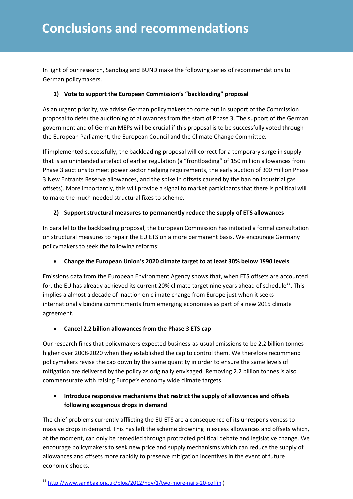In light of our research, Sandbag and BUND make the following series of recommendations to German policymakers.

#### **1) Vote to support the European Commission's "backloading" proposal**

As an urgent priority, we advise German policymakers to come out in support of the Commission proposal to defer the auctioning of allowances from the start of Phase 3. The support of the German government and of German MEPs will be crucial if this proposal is to be successfully voted through the European Parliament, the European Council and the Climate Change Committee.

If implemented successfully, the backloading proposal will correct for a temporary surge in supply that is an unintended artefact of earlier regulation (a "frontloading" of 150 million allowances from Phase 3 auctions to meet power sector hedging requirements, the early auction of 300 million Phase 3 New Entrants Reserve allowances, and the spike in offsets caused by the ban on industrial gas offsets). More importantly, this will provide a signal to market participants that there is political will to make the much-needed structural fixes to scheme.

#### **2) Support structural measures to permanently reduce the supply of ETS allowances**

In parallel to the backloading proposal, the European Commission has initiated a formal consultation on structural measures to repair the EU ETS on a more permanent basis. We encourage Germany policymakers to seek the following reforms:

#### **Change the European Union's 2020 climate target to at least 30% below 1990 levels**

Emissions data from the European Environment Agency shows that, when ETS offsets are accounted for, the EU has already achieved its current 20% climate target nine years ahead of schedule<sup>33</sup>. This implies a almost a decade of inaction on climate change from Europe just when it seeks internationally binding commitments from emerging economies as part of a new 2015 climate agreement.

#### **Cancel 2.2 billion allowances from the Phase 3 ETS cap**

Our research finds that policymakers expected business-as-usual emissions to be 2.2 billion tonnes higher over 2008-2020 when they established the cap to control them. We therefore recommend policymakers revise the cap down by the same quantity in order to ensure the same levels of mitigation are delivered by the policy as originally envisaged. Removing 2.2 billion tonnes is also commensurate with raising Europe's economy wide climate targets.

#### **Introduce responsive mechanisms that restrict the supply of allowances and offsets following exogenous drops in demand**

The chief problems currently afflicting the EU ETS are a consequence of its unresponsiveness to massive drops in demand. This has left the scheme drowning in excess allowances and offsets which, at the moment, can only be remedied through protracted political debate and legislative change. We encourage policymakers to seek new price and supply mechanisms which can reduce the supply of allowances and offsets more rapidly to preserve mitigation incentives in the event of future economic shocks.

<sup>&</sup>lt;sup>33</sup> <http://www.sandbag.org.uk/blog/2012/nov/1/two-more-nails-20-coffin>)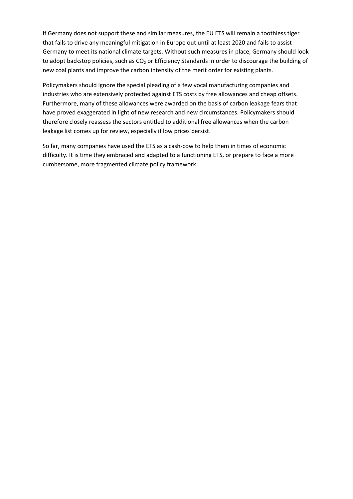If Germany does not support these and similar measures, the EU ETS will remain a toothless tiger that fails to drive any meaningful mitigation in Europe out until at least 2020 and fails to assist Germany to meet its national climate targets. Without such measures in place, Germany should look to adopt backstop policies, such as CO<sub>2</sub> or Efficiency Standards in order to discourage the building of new coal plants and improve the carbon intensity of the merit order for existing plants.

Policymakers should ignore the special pleading of a few vocal manufacturing companies and industries who are extensively protected against ETS costs by free allowances and cheap offsets. Furthermore, many of these allowances were awarded on the basis of carbon leakage fears that have proved exaggerated in light of new research and new circumstances. Policymakers should therefore closely reassess the sectors entitled to additional free allowances when the carbon leakage list comes up for review, especially if low prices persist.

So far, many companies have used the ETS as a cash-cow to help them in times of economic difficulty. It is time they embraced and adapted to a functioning ETS, or prepare to face a more cumbersome, more fragmented climate policy framework.